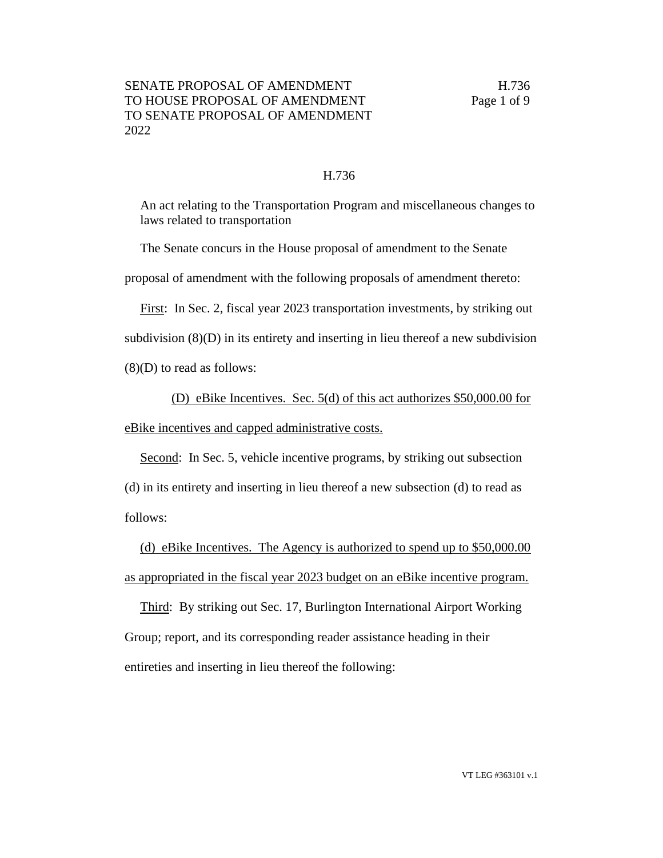## H.736

An act relating to the Transportation Program and miscellaneous changes to laws related to transportation

The Senate concurs in the House proposal of amendment to the Senate

proposal of amendment with the following proposals of amendment thereto:

First: In Sec. 2, fiscal year 2023 transportation investments, by striking out

subdivision  $(8)(D)$  in its entirety and inserting in lieu thereof a new subdivision

(8)(D) to read as follows:

(D) eBike Incentives. Sec. 5(d) of this act authorizes \$50,000.00 for

eBike incentives and capped administrative costs.

Second: In Sec. 5, vehicle incentive programs, by striking out subsection (d) in its entirety and inserting in lieu thereof a new subsection (d) to read as follows:

(d) eBike Incentives. The Agency is authorized to spend up to \$50,000.00 as appropriated in the fiscal year 2023 budget on an eBike incentive program.

Third: By striking out Sec. 17, Burlington International Airport Working Group; report, and its corresponding reader assistance heading in their entireties and inserting in lieu thereof the following: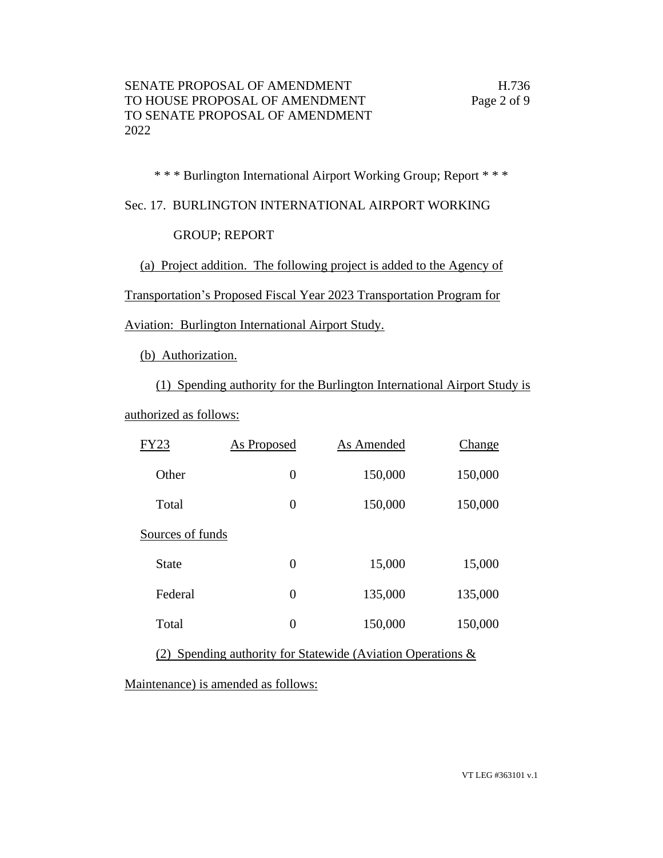\* \* \* Burlington International Airport Working Group; Report \* \* \*

Sec. 17. BURLINGTON INTERNATIONAL AIRPORT WORKING

GROUP; REPORT

(a) Project addition. The following project is added to the Agency of

Transportation's Proposed Fiscal Year 2023 Transportation Program for

Aviation: Burlington International Airport Study.

(b) Authorization.

(1) Spending authority for the Burlington International Airport Study is

authorized as follows:

| FY23             | <b>As Proposed</b> | As Amended | Change  |
|------------------|--------------------|------------|---------|
| Other            | $\overline{0}$     | 150,000    | 150,000 |
| Total            | $\theta$           | 150,000    | 150,000 |
| Sources of funds |                    |            |         |
| State            | $\overline{0}$     | 15,000     | 15,000  |
| Federal          | $\overline{0}$     | 135,000    | 135,000 |
| Total            | $\overline{0}$     | 150,000    | 150,000 |

(2) Spending authority for Statewide (Aviation Operations &

Maintenance) is amended as follows: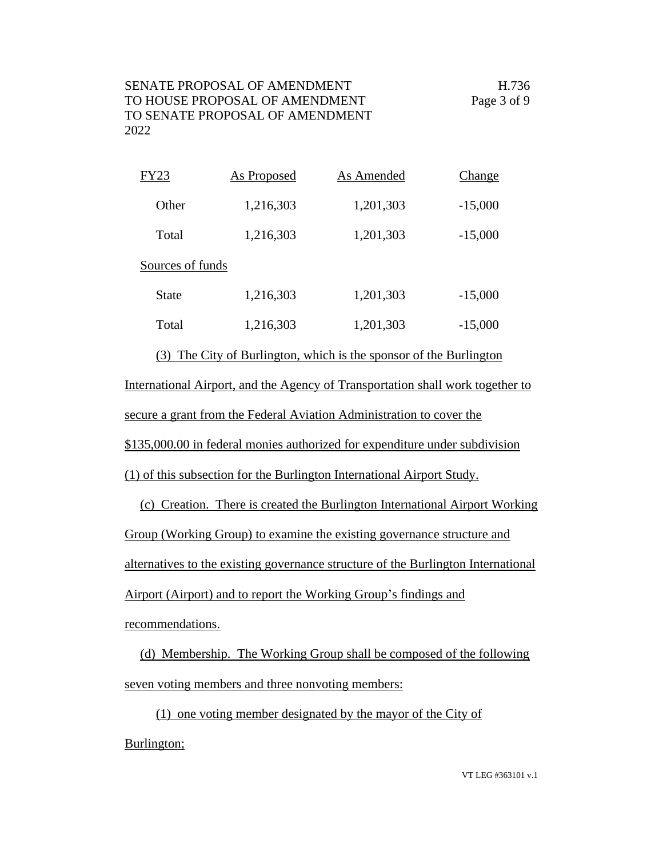| FY23             | As Proposed | As Amended | <b>Change</b> |
|------------------|-------------|------------|---------------|
| Other            | 1,216,303   | 1,201,303  | $-15,000$     |
| Total            | 1,216,303   | 1,201,303  | $-15,000$     |
| Sources of funds |             |            |               |
| <b>State</b>     | 1,216,303   | 1,201,303  | $-15,000$     |
| Total            | 1,216,303   | 1,201,303  | $-15,000$     |

(3) The City of Burlington, which is the sponsor of the Burlington International Airport, and the Agency of Transportation shall work together to secure a grant from the Federal Aviation Administration to cover the

\$135,000.00 in federal monies authorized for expenditure under subdivision

(1) of this subsection for the Burlington International Airport Study.

(c) Creation. There is created the Burlington International Airport Working Group (Working Group) to examine the existing governance structure and alternatives to the existing governance structure of the Burlington International Airport (Airport) and to report the Working Group's findings and recommendations.

(d) Membership. The Working Group shall be composed of the following seven voting members and three nonvoting members:

(1) one voting member designated by the mayor of the City of Burlington;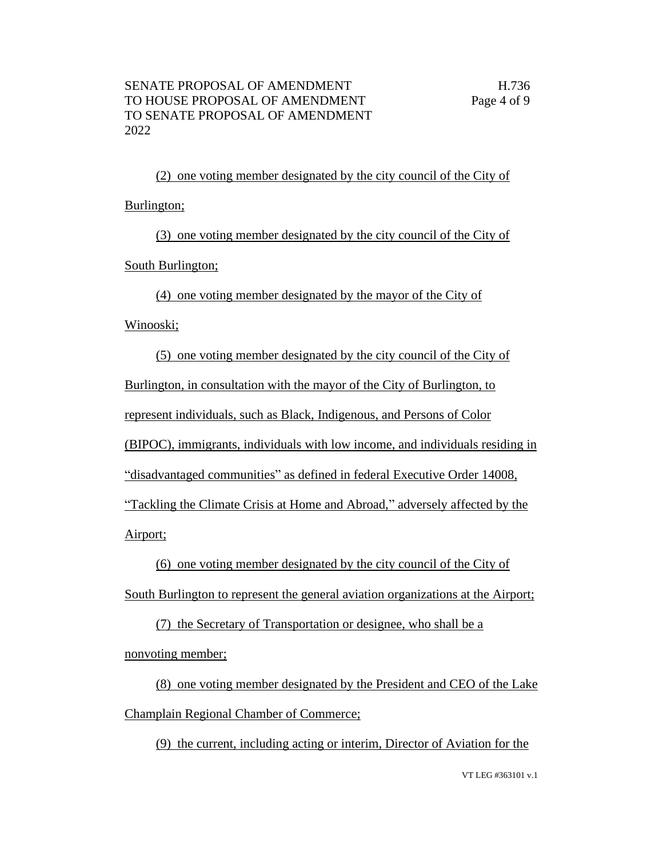(2) one voting member designated by the city council of the City of Burlington;

(3) one voting member designated by the city council of the City of South Burlington;

(4) one voting member designated by the mayor of the City of

Winooski;

(5) one voting member designated by the city council of the City of Burlington, in consultation with the mayor of the City of Burlington, to represent individuals, such as Black, Indigenous, and Persons of Color (BIPOC), immigrants, individuals with low income, and individuals residing in "disadvantaged communities" as defined in federal Executive Order 14008, "Tackling the Climate Crisis at Home and Abroad," adversely affected by the

Airport;

(6) one voting member designated by the city council of the City of

South Burlington to represent the general aviation organizations at the Airport;

(7) the Secretary of Transportation or designee, who shall be a nonvoting member;

(8) one voting member designated by the President and CEO of the Lake Champlain Regional Chamber of Commerce;

(9) the current, including acting or interim, Director of Aviation for the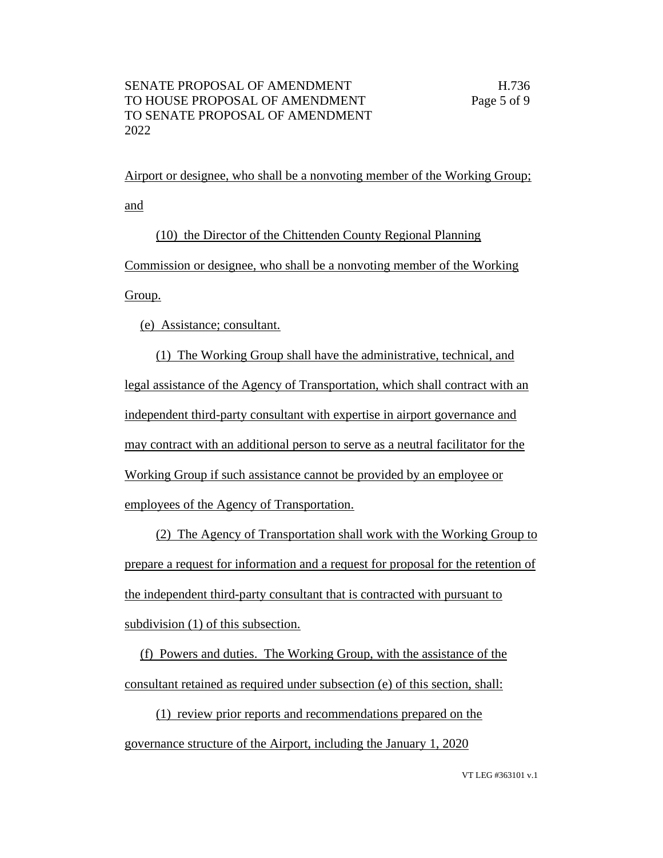Airport or designee, who shall be a nonvoting member of the Working Group; and

(10) the Director of the Chittenden County Regional Planning Commission or designee, who shall be a nonvoting member of the Working

Group.

(e) Assistance; consultant.

(1) The Working Group shall have the administrative, technical, and legal assistance of the Agency of Transportation, which shall contract with an independent third-party consultant with expertise in airport governance and may contract with an additional person to serve as a neutral facilitator for the Working Group if such assistance cannot be provided by an employee or employees of the Agency of Transportation.

(2) The Agency of Transportation shall work with the Working Group to prepare a request for information and a request for proposal for the retention of the independent third-party consultant that is contracted with pursuant to subdivision (1) of this subsection.

(f) Powers and duties. The Working Group, with the assistance of the consultant retained as required under subsection (e) of this section, shall:

(1) review prior reports and recommendations prepared on the governance structure of the Airport, including the January 1, 2020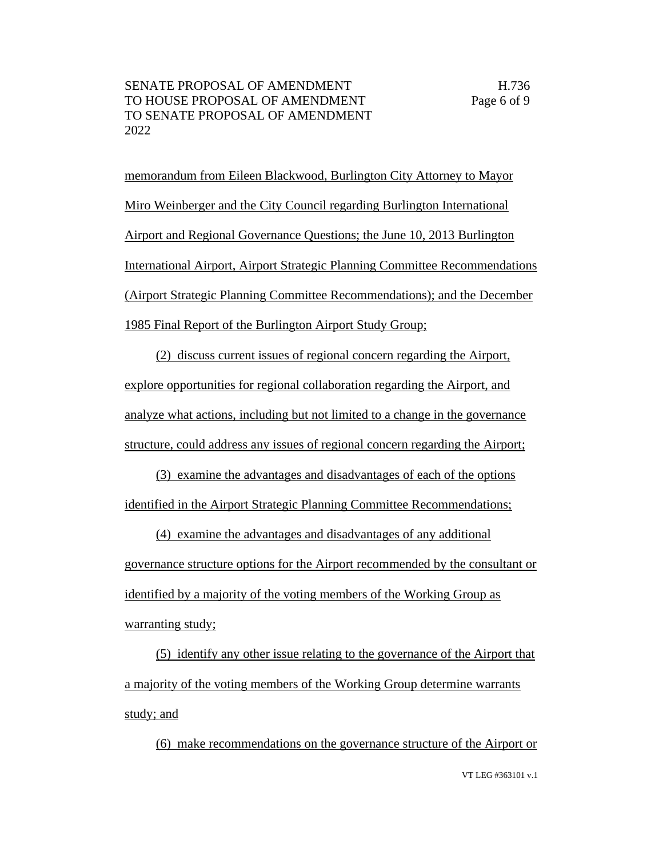memorandum from Eileen Blackwood, Burlington City Attorney to Mayor Miro Weinberger and the City Council regarding Burlington International Airport and Regional Governance Questions; the June 10, 2013 Burlington International Airport, Airport Strategic Planning Committee Recommendations (Airport Strategic Planning Committee Recommendations); and the December 1985 Final Report of the Burlington Airport Study Group;

(2) discuss current issues of regional concern regarding the Airport, explore opportunities for regional collaboration regarding the Airport, and analyze what actions, including but not limited to a change in the governance structure, could address any issues of regional concern regarding the Airport;

(3) examine the advantages and disadvantages of each of the options identified in the Airport Strategic Planning Committee Recommendations;

(4) examine the advantages and disadvantages of any additional governance structure options for the Airport recommended by the consultant or identified by a majority of the voting members of the Working Group as warranting study;

(5) identify any other issue relating to the governance of the Airport that a majority of the voting members of the Working Group determine warrants study; and

VT LEG #363101 v.1 (6) make recommendations on the governance structure of the Airport or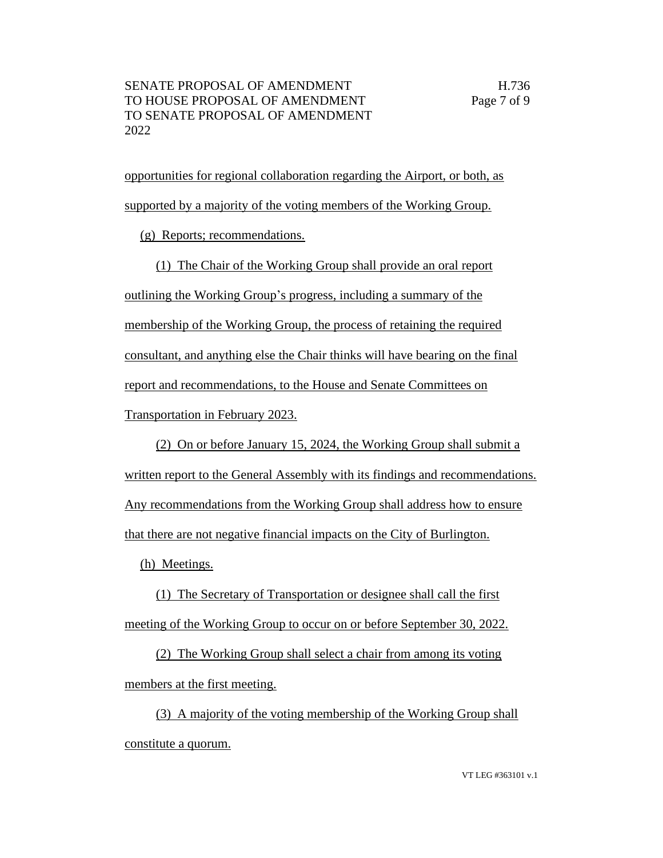opportunities for regional collaboration regarding the Airport, or both, as supported by a majority of the voting members of the Working Group.

(g) Reports; recommendations.

(1) The Chair of the Working Group shall provide an oral report outlining the Working Group's progress, including a summary of the membership of the Working Group, the process of retaining the required consultant, and anything else the Chair thinks will have bearing on the final report and recommendations, to the House and Senate Committees on Transportation in February 2023.

(2) On or before January 15, 2024, the Working Group shall submit a written report to the General Assembly with its findings and recommendations. Any recommendations from the Working Group shall address how to ensure that there are not negative financial impacts on the City of Burlington.

(h) Meetings.

(1) The Secretary of Transportation or designee shall call the first meeting of the Working Group to occur on or before September 30, 2022.

(2) The Working Group shall select a chair from among its voting members at the first meeting.

(3) A majority of the voting membership of the Working Group shall constitute a quorum.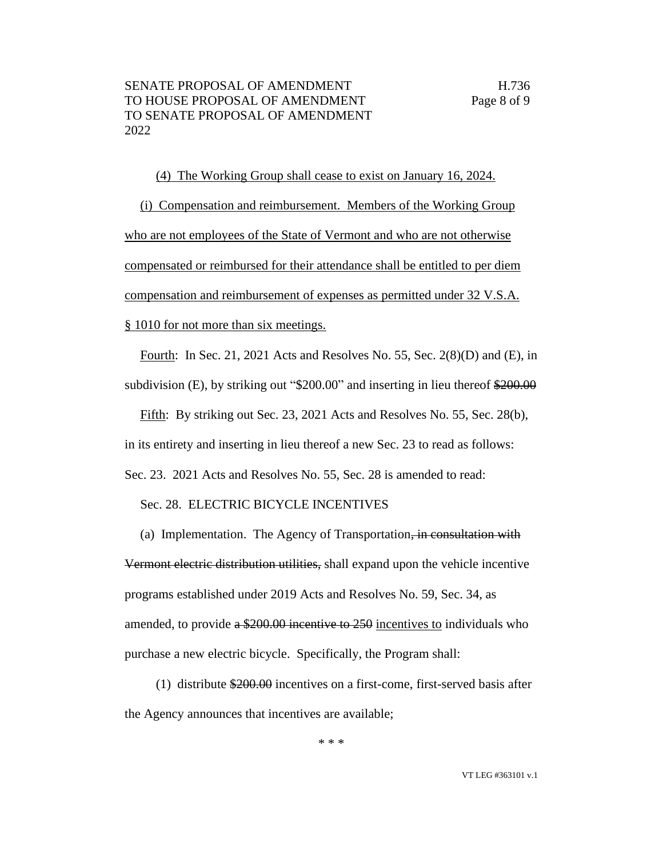(4) The Working Group shall cease to exist on January 16, 2024. (i) Compensation and reimbursement. Members of the Working Group who are not employees of the State of Vermont and who are not otherwise compensated or reimbursed for their attendance shall be entitled to per diem compensation and reimbursement of expenses as permitted under 32 V.S.A. § 1010 for not more than six meetings.

Fourth: In Sec. 21, 2021 Acts and Resolves No. 55, Sec. 2(8)(D) and (E), in subdivision (E), by striking out "\$200.00" and inserting in lieu thereof \$200.00

Fifth: By striking out Sec. 23, 2021 Acts and Resolves No. 55, Sec. 28(b), in its entirety and inserting in lieu thereof a new Sec. 23 to read as follows: Sec. 23. 2021 Acts and Resolves No. 55, Sec. 28 is amended to read:

Sec. 28. ELECTRIC BICYCLE INCENTIVES

(a) Implementation. The Agency of Transportation, in consultation with Vermont electric distribution utilities, shall expand upon the vehicle incentive programs established under 2019 Acts and Resolves No. 59, Sec. 34, as amended, to provide  $a \frac{$200.00 \text{ incentive to } 250 \text{ incentives to individuals who}}{250 \text{و}$ purchase a new electric bicycle. Specifically, the Program shall:

(1) distribute \$200.00 incentives on a first-come, first-served basis after the Agency announces that incentives are available;